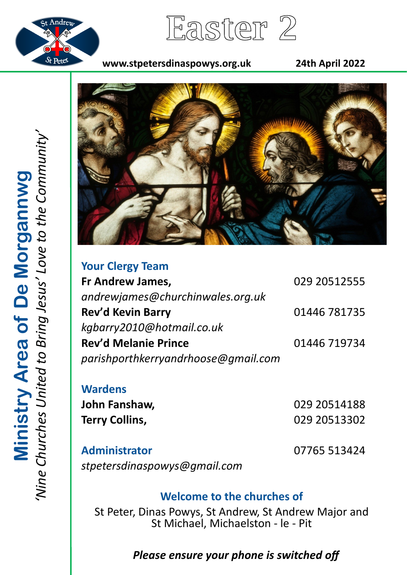

Easter 2

## **www.stpetersdinaspowys.org.uk 24th April 2022**



| <b>Your Clergy Team</b>             |              |
|-------------------------------------|--------------|
| Fr Andrew James,                    | 029 20512555 |
| andrewjames@churchinwales.org.uk    |              |
| <b>Rev'd Kevin Barry</b>            | 01446 781735 |
| kgbarry2010@hotmail.co.uk           |              |
| <b>Rev'd Melanie Prince</b>         | 01446 719734 |
| parishporthkerryandrhoose@gmail.com |              |

**Wardens**

**John Fanshaw,** 029 20514188 **Terry Collins,** 029 20513302

**Administrator** 07765 513424 *stpetersdinaspowys@gmail.com*

# **Welcome to the churches of**

St Peter, Dinas Powys, St Andrew, St Andrew Major and St Michael, Michaelston - le - Pit

# *Please ensure your phone is switched off*

*'Nine Churches United to Bring Jesus' Love to the Community'* **Ministry Area of De Morgannwg**<br>'Nine Churches United to Bring Jesus' Love to the Community **Ministry Area of De Morgannwg**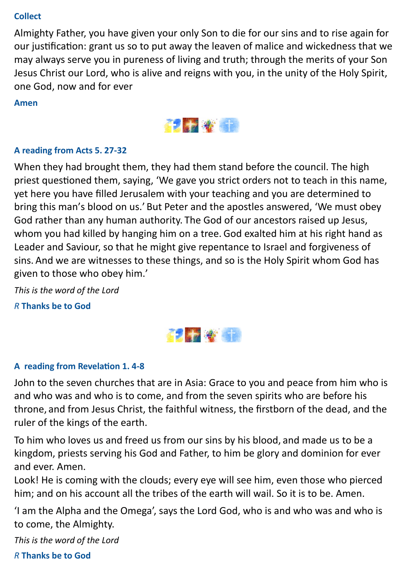#### **Collect**

Almighty Father, you have given your only Son to die for our sins and to rise again for our justification: grant us so to put away the leaven of malice and wickedness that we may always serve you in pureness of living and truth; through the merits of your Son Jesus Christ our Lord, who is alive and reigns with you, in the unity of the Holy Spirit, one God, now and for ever

#### **Amen**



#### **A reading from Acts 5. 27-32**

When they had brought them, they had them stand before the council. The high priest questioned them, saying, 'We gave you strict orders not to teach in this name, yet here you have filled Jerusalem with your teaching and you are determined to bring this man's blood on us.' But Peter and the apostles answered, 'We must obey God rather than any human authority. The God of our ancestors raised up Jesus, whom you had killed by hanging him on a tree. God exalted him at his right hand as Leader and Saviour, so that he might give repentance to Israel and forgiveness of sins. And we are witnesses to these things, and so is the Holy Spirit whom God has given to those who obey him.'

*This is the word of the Lord R* **Thanks be to God**



## **A reading from Revelation 1. 4-8**

John to the seven churches that are in Asia: Grace to you and peace from him who is and who was and who is to come, and from the seven spirits who are before his throne, and from Jesus Christ, the faithful witness, the firstborn of the dead, and the ruler of the kings of the earth.

To him who loves us and freed us from our sins by his blood, and made us to be a kingdom, priests serving his God and Father, to him be glory and dominion for ever and ever. Amen.

Look! He is coming with the clouds; every eye will see him, even those who pierced him; and on his account all the tribes of the earth will wail. So it is to be. Amen.

'I am the Alpha and the Omega', says the Lord God, who is and who was and who is to come, the Almighty.

*This is the word of the Lord*

*R* **Thanks be to God**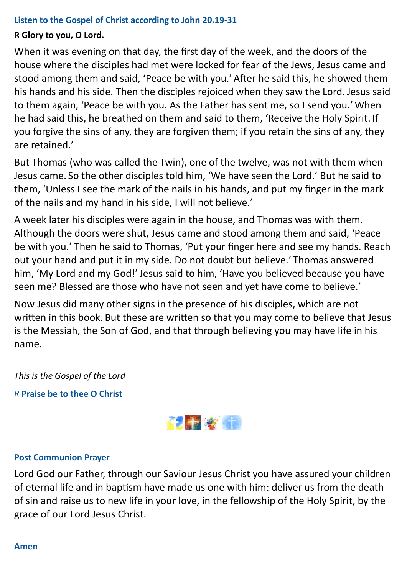#### **Listen to the Gospel of Christ according to John 20.19-31**

### **R Glory to you, O Lord.**

When it was evening on that day, the first day of the week, and the doors of the house where the disciples had met were locked for fear of the Jews, Jesus came and stood among them and said, 'Peace be with you.' After he said this, he showed them his hands and his side. Then the disciples rejoiced when they saw the Lord. Jesus said to them again, 'Peace be with you. As the Father has sent me, so I send you.' When he had said this, he breathed on them and said to them, 'Receive the Holy Spirit. If you forgive the sins of any, they are forgiven them; if you retain the sins of any, they are retained.'

But Thomas (who was called the Twin), one of the twelve, was not with them when Jesus came. So the other disciples told him, 'We have seen the Lord.' But he said to them, 'Unless I see the mark of the nails in his hands, and put my finger in the mark of the nails and my hand in his side, I will not believe.'

A week later his disciples were again in the house, and Thomas was with them. Although the doors were shut, Jesus came and stood among them and said, 'Peace be with you.' Then he said to Thomas, 'Put your finger here and see my hands. Reach out your hand and put it in my side. Do not doubt but believe.' Thomas answered him, 'My Lord and my God!' Jesus said to him, 'Have you believed because you have seen me? Blessed are those who have not seen and yet have come to believe.'

Now Jesus did many other signs in the presence of his disciples, which are not written in this book. But these are written so that you may come to believe that Jesus is the Messiah, the Son of God, and that through believing you may have life in his name.

*This is the Gospel of the Lord*

*R* **Praise be to thee O Christ**



#### **Post Communion Prayer**

Lord God our Father, through our Saviour Jesus Christ you have assured your children of eternal life and in baptism have made us one with him: deliver us from the death of sin and raise us to new life in your love, in the fellowship of the Holy Spirit, by the grace of our Lord Jesus Christ.